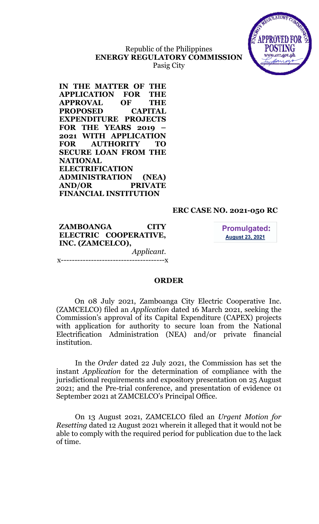# Republic of the Philippines ENERGY REGULATORY COMMISSION Pasig City



IN THE MATTER OF THE APPLICATION FOR THE APPROVAL OF THE PROPOSED CAPITAL EXPENDITURE PROJECTS FOR THE YEARS 2019 – 2021 WITH APPLICATION FOR AUTHORITY TO SECURE LOAN FROM THE NATIONAL ELECTRIFICATION ADMINISTRATION (NEA) AND/OR PRIVATE FINANCIAL INSTITUTION

### ERC CASE NO. 2021-050 RC

ZAMBOANGA CITY ELECTRIC COOPERATIVE, INC. (ZAMCELCO), Applicant.

x--------------------------------------x

**Promulgated: August 23, 2021** 

#### ORDER

On 08 July 2021, Zamboanga City Electric Cooperative Inc. (ZAMCELCO) filed an Application dated 16 March 2021, seeking the Commission's approval of its Capital Expenditure (CAPEX) projects with application for authority to secure loan from the National Electrification Administration (NEA) and/or private financial institution.

In the Order dated 22 July 2021, the Commission has set the instant Application for the determination of compliance with the jurisdictional requirements and expository presentation on 25 August 2021; and the Pre-trial conference, and presentation of evidence 01 September 2021 at ZAMCELCO's Principal Office.

On 13 August 2021, ZAMCELCO filed an Urgent Motion for Resetting dated 12 August 2021 wherein it alleged that it would not be able to comply with the required period for publication due to the lack of time.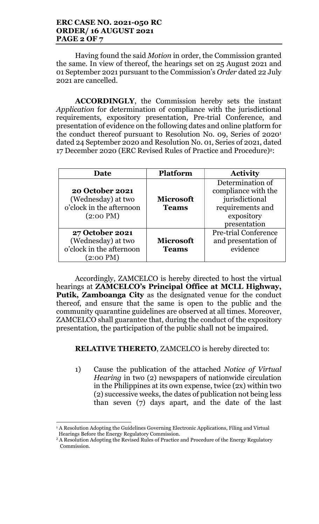#### ERC CASE NO. 2021-050 RC ORDER/ 16 AUGUST 2021 PAGE 2 OF 7

Having found the said Motion in order, the Commission granted the same. In view of thereof, the hearings set on 25 August 2021 and 01 September 2021 pursuant to the Commission's Order dated 22 July 2021 are cancelled.

ACCORDINGLY, the Commission hereby sets the instant Application for determination of compliance with the jurisdictional requirements, expository presentation, Pre-trial Conference, and presentation of evidence on the following dates and online platform for the conduct thereof pursuant to Resolution No. 09, Series of 2020<sup>1</sup> dated 24 September 2020 and Resolution No. 01, Series of 2021, dated 17 December 2020 (ERC Revised Rules of Practice and Procedure)<sup>2</sup>:

| <b>Date</b>                                                                                     | <b>Platform</b>                  | <b>Activity</b>                                                                                             |
|-------------------------------------------------------------------------------------------------|----------------------------------|-------------------------------------------------------------------------------------------------------------|
| <b>20 October 2021</b><br>(Wednesday) at two<br>o'clock in the afternoon<br>$(2:00 \text{ PM})$ | <b>Microsoft</b><br><b>Teams</b> | Determination of<br>compliance with the<br>jurisdictional<br>requirements and<br>expository<br>presentation |
| <b>27 October 2021</b><br>(Wednesday) at two<br>o'clock in the afternoon<br>(2:00 PM)           | <b>Microsoft</b><br><b>Teams</b> | <b>Pre-trial Conference</b><br>and presentation of<br>evidence                                              |

Accordingly, ZAMCELCO is hereby directed to host the virtual hearings at ZAMCELCO's Principal Office at MCLL Highway, Putik, Zamboanga City as the designated venue for the conduct thereof, and ensure that the same is open to the public and the community quarantine guidelines are observed at all times. Moreover, ZAMCELCO shall guarantee that, during the conduct of the expository presentation, the participation of the public shall not be impaired.

# RELATIVE THERETO, ZAMCELCO is hereby directed to:

1) Cause the publication of the attached Notice of Virtual Hearing in two (2) newspapers of nationwide circulation in the Philippines at its own expense, twice (2x) within two (2) successive weeks, the dates of publication not being less than seven (7) days apart, and the date of the last

 1 A Resolution Adopting the Guidelines Governing Electronic Applications, Filing and Virtual Hearings Before the Energy Regulatory Commission.

 $2A$  Resolution Adopting the Revised Rules of Practice and Procedure of the Energy Regulatory Commission.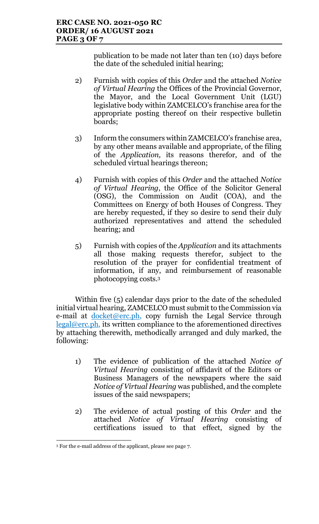publication to be made not later than ten (10) days before the date of the scheduled initial hearing;

- 2) Furnish with copies of this Order and the attached Notice of Virtual Hearing the Offices of the Provincial Governor, the Mayor, and the Local Government Unit (LGU) legislative body within ZAMCELCO's franchise area for the appropriate posting thereof on their respective bulletin boards;
- 3) Inform the consumers within ZAMCELCO's franchise area, by any other means available and appropriate, of the filing of the Application, its reasons therefor, and of the scheduled virtual hearings thereon;
- 4) Furnish with copies of this Order and the attached Notice of Virtual Hearing, the Office of the Solicitor General (OSG), the Commission on Audit (COA), and the Committees on Energy of both Houses of Congress. They are hereby requested, if they so desire to send their duly authorized representatives and attend the scheduled hearing; and
- 5) Furnish with copies of the Application and its attachments all those making requests therefor, subject to the resolution of the prayer for confidential treatment of information, if any, and reimbursement of reasonable photocopying costs.<sup>3</sup>

Within five (5) calendar days prior to the date of the scheduled initial virtual hearing, ZAMCELCO must submit to the Commission via e-mail at  $d$ ocket@erc.ph, copy furnish the Legal Service through legal@erc.ph, its written compliance to the aforementioned directives by attaching therewith, methodically arranged and duly marked, the following:

- 1) The evidence of publication of the attached Notice of Virtual Hearing consisting of affidavit of the Editors or Business Managers of the newspapers where the said Notice of Virtual Hearing was published, and the complete issues of the said newspapers;
- 2) The evidence of actual posting of this Order and the attached Notice of Virtual Hearing consisting of certifications issued to that effect, signed by the

<sup>3</sup> For the e-mail address of the applicant, please see page 7.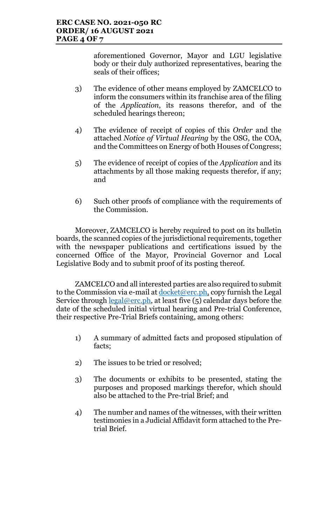aforementioned Governor, Mayor and LGU legislative body or their duly authorized representatives, bearing the seals of their offices;

- 3) The evidence of other means employed by ZAMCELCO to inform the consumers within its franchise area of the filing of the Application, its reasons therefor, and of the scheduled hearings thereon;
- 4) The evidence of receipt of copies of this Order and the attached Notice of Virtual Hearing by the OSG, the COA, and the Committees on Energy of both Houses of Congress;
- 5) The evidence of receipt of copies of the Application and its attachments by all those making requests therefor, if any; and
- 6) Such other proofs of compliance with the requirements of the Commission.

Moreover, ZAMCELCO is hereby required to post on its bulletin boards, the scanned copies of the jurisdictional requirements, together with the newspaper publications and certifications issued by the concerned Office of the Mayor, Provincial Governor and Local Legislative Body and to submit proof of its posting thereof.

ZAMCELCO and all interested parties are also required to submit to the Commission via e-mail at  $d$ ocket@erc.ph, copy furnish the Legal Service through  $\text{legal@erc.ph}$ , at least five (5) calendar days before the date of the scheduled initial virtual hearing and Pre-trial Conference, their respective Pre-Trial Briefs containing, among others:

- 1) A summary of admitted facts and proposed stipulation of facts;
- 2) The issues to be tried or resolved;
- 3) The documents or exhibits to be presented, stating the purposes and proposed markings therefor, which should also be attached to the Pre-trial Brief; and
- 4) The number and names of the witnesses, with their written testimonies in a Judicial Affidavit form attached to the Pretrial Brief.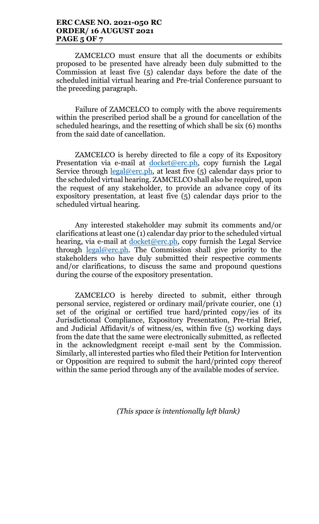### ERC CASE NO. 2021-050 RC ORDER/ 16 AUGUST 2021 PAGE 5 OF 7

ZAMCELCO must ensure that all the documents or exhibits proposed to be presented have already been duly submitted to the Commission at least five (5) calendar days before the date of the scheduled initial virtual hearing and Pre-trial Conference pursuant to the preceding paragraph.

Failure of ZAMCELCO to comply with the above requirements within the prescribed period shall be a ground for cancellation of the scheduled hearings, and the resetting of which shall be six (6) months from the said date of cancellation.

ZAMCELCO is hereby directed to file a copy of its Expository Presentation via e-mail at  $d$ ocket@erc.ph, copy furnish the Legal Service through <u>legal@erc.ph</u>, at least five (5) calendar days prior to the scheduled virtual hearing. ZAMCELCO shall also be required, upon the request of any stakeholder, to provide an advance copy of its expository presentation, at least five (5) calendar days prior to the scheduled virtual hearing.

Any interested stakeholder may submit its comments and/or clarifications at least one (1) calendar day prior to the scheduled virtual hearing, via e-mail at *docket@erc.ph*, copy furnish the Legal Service through legal@erc.ph. The Commission shall give priority to the stakeholders who have duly submitted their respective comments and/or clarifications, to discuss the same and propound questions during the course of the expository presentation.

ZAMCELCO is hereby directed to submit, either through personal service, registered or ordinary mail/private courier, one (1) set of the original or certified true hard/printed copy/ies of its Jurisdictional Compliance, Expository Presentation, Pre-trial Brief, and Judicial Affidavit/s of witness/es, within five (5) working days from the date that the same were electronically submitted, as reflected in the acknowledgment receipt e-mail sent by the Commission. Similarly, all interested parties who filed their Petition for Intervention or Opposition are required to submit the hard/printed copy thereof within the same period through any of the available modes of service.

(This space is intentionally left blank)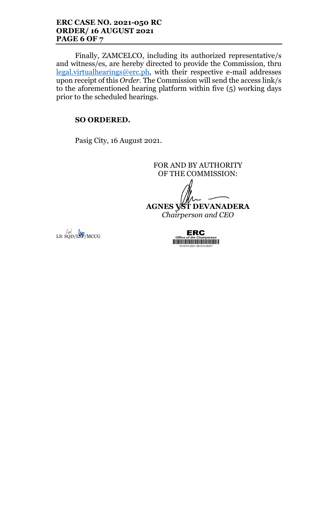#### ERC CASE NO. 2021-050 RC ORDER/ 16 AUGUST 2021 PAGE 6 OF 7

Finally, ZAMCELCO, including its authorized representative/s and witness/es, are hereby directed to provide the Commission, thru legal.virtualhearings@erc.ph, with their respective e-mail addresses upon receipt of this Order. The Commission will send the access link/s to the aforementioned hearing platform within five (5) working days prior to the scheduled hearings.

# SO ORDERED.

Pasig City, 16 August 2021.

FOR AND BY AUTHORITY OF THE COMMISSION:

AGNES VST DEVANADERA

Chairperson and CEO